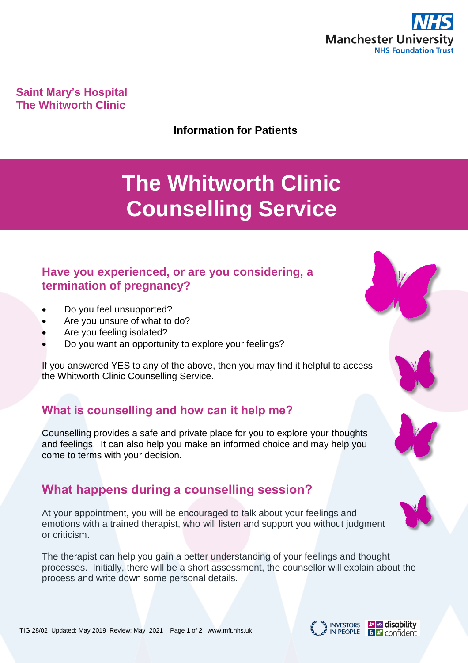

**Saint Mary's Hospital The Whitworth Clinic**

**Information for Patients**

# **The Whitworth Clinic Counselling Service**

## **Have you experienced, or are you considering, a termination of pregnancy?**

- Do you feel unsupported?
- Are you unsure of what to do?
- Are you feeling isolated?
- Do you want an opportunity to explore your feelings?

If you answered YES to any of the above, then you may find it helpful to access the Whitworth Clinic Counselling Service.

# **What is counselling and how can it help me?**

Counselling provides a safe and private place for you to explore your thoughts and feelings. It can also help you make an informed choice and may help you come to terms with your decision.

# **What happens during a counselling session?**

At your appointment, you will be encouraged to talk about your feelings and emotions with a trained therapist, who will listen and support you without judgment or criticism.

The therapist can help you gain a better understanding of your feelings and thought processes. Initially, there will be a short assessment, the counsellor will explain about the process and write down some personal details.